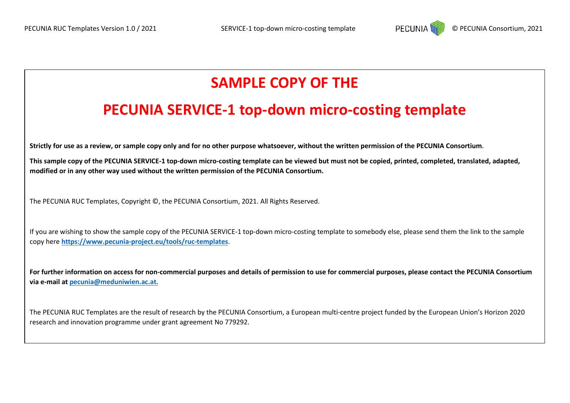

# **SAMPLE COPY OF THE**

## **PECUNIA SERVICE-1 top-down micro-costing template**

**Strictly for use as a review, or sample copy only and for no other purpose whatsoever, without the written permission of the PECUNIA Consortium.** 

**This sample copy of the PECUNIA SERVICE-1 top-down micro-costing template can be viewed but must not be copied, printed, completed, translated, adapted, modified or in any other way used without the written permission of the PECUNIA Consortium.**

The PECUNIA RUC Templates, Copyright ©, the PECUNIA Consortium, 2021. All Rights Reserved.

If you are wishing to show the sample copy of the PECUNIA SERVICE-1 top-down micro-costing template to somebody else, please send them the link to the sample copy here **<https://www.pecunia-project.eu/tools/ruc-templates>**.

**For further information on access for non-commercial purposes and details of permission to use for commercial purposes, please contact the PECUNIA Consortium via e-mail a[t pecunia@meduniwien.ac.at.](mailto:pecunia@meduniwien.ac.at)**

The PECUNIA RUC Templates are the result of research by the PECUNIA Consortium, a European multi-centre project funded by the European Union's Horizon 2020 research and innovation programme under grant agreement No 779292.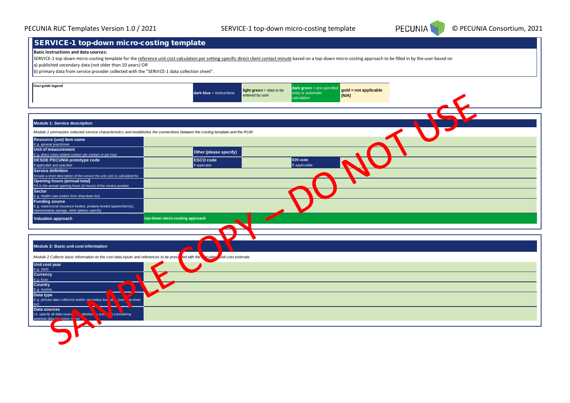

## SERVICE-1 top-down micro-costing template

#### **Basic instructions and data sources:**

SERVICE-1 top-down micro-costing template for the reference unit cost calculation per setting-specific direct client contact minute based on a top-down micro-costing approach to be filled in by the user based on

a) published secondary data (not older than 10 years) OR

b) primary data from service provider collected with the "SERVICE-1 data collection sheet".

| User guide legend                                                                                                                                             | $dark blue =$ instructions                             | light green = data to be<br>entry or automatic<br>entered by user<br>calculation | dark green = pre-specified<br>gold = not applicable<br>(N/A) |  |
|---------------------------------------------------------------------------------------------------------------------------------------------------------------|--------------------------------------------------------|----------------------------------------------------------------------------------|--------------------------------------------------------------|--|
|                                                                                                                                                               |                                                        |                                                                                  |                                                              |  |
| Module 1: Service description<br>Module 1 ummarizes selected service characteristics and establishes the connections between the costing template and the RUM |                                                        |                                                                                  |                                                              |  |
| Resource (use) item name                                                                                                                                      |                                                        |                                                                                  |                                                              |  |
| E.g. general practitioner                                                                                                                                     |                                                        |                                                                                  |                                                              |  |
| Unit of measurement<br>E.g. direct client related contact per contact or per hour                                                                             | Other (please specify)                                 |                                                                                  |                                                              |  |
| <b>DESDE PECUNIA prototype code</b>                                                                                                                           | <b>ESCO</b> code                                       | <b>ICHI code</b>                                                                 |                                                              |  |
| If applicable and specified                                                                                                                                   | If applicable                                          | If applicable                                                                    |                                                              |  |
| Service definition<br>Include a short description of the service the unit cost is calculated for                                                              |                                                        |                                                                                  |                                                              |  |
| <b>Opening hours (annual total)</b>                                                                                                                           |                                                        |                                                                                  |                                                              |  |
| Fill in the annual opening hours (in hours) of the service provider<br><b>Sector</b>                                                                          |                                                        |                                                                                  |                                                              |  |
| E.g. Health care (select from drop-down list)                                                                                                                 |                                                        |                                                                                  |                                                              |  |
| <b>Funding source</b>                                                                                                                                         |                                                        |                                                                                  |                                                              |  |
| E.g. state/social insurance-funded, privately-funded (patient/family),<br>representative average, other (please specify)                                      |                                                        |                                                                                  |                                                              |  |
| <b>Valuation approach</b>                                                                                                                                     | top-down micro-costing approach                        |                                                                                  |                                                              |  |
|                                                                                                                                                               |                                                        |                                                                                  |                                                              |  |
|                                                                                                                                                               |                                                        |                                                                                  |                                                              |  |
|                                                                                                                                                               |                                                        |                                                                                  |                                                              |  |
| Module 2: Basic unit cost information                                                                                                                         |                                                        |                                                                                  |                                                              |  |
| Module 2 Collects basic information on the cost data inputs and references to be prese                                                                        | <b>V</b> culate<br>unit cost estimate.<br>ted with the |                                                                                  |                                                              |  |
| Unit cost year                                                                                                                                                |                                                        |                                                                                  |                                                              |  |
| E.g. 2020                                                                                                                                                     |                                                        |                                                                                  |                                                              |  |
| <b>Currency</b>                                                                                                                                               |                                                        |                                                                                  |                                                              |  |
| E.g. Euro                                                                                                                                                     |                                                        |                                                                                  |                                                              |  |
| <b>Country</b><br>E.g. Austria                                                                                                                                |                                                        |                                                                                  |                                                              |  |
| ▽<br>Data type                                                                                                                                                |                                                        |                                                                                  |                                                              |  |
| E.g. primary data collection and/or secondary level de<br>see<br>pp-down                                                                                      |                                                        |                                                                                  |                                                              |  |
| $\overline{list}$<br>$\blacklozenge$<br>Data sources                                                                                                          |                                                        |                                                                                  |                                                              |  |
| I.e. specify all data source $\sqrt{16}$<br>detailed<br><b>s</b> pos.<br>considering                                                                          |                                                        |                                                                                  |                                                              |  |
|                                                                                                                                                               |                                                        |                                                                                  |                                                              |  |
|                                                                                                                                                               |                                                        |                                                                                  |                                                              |  |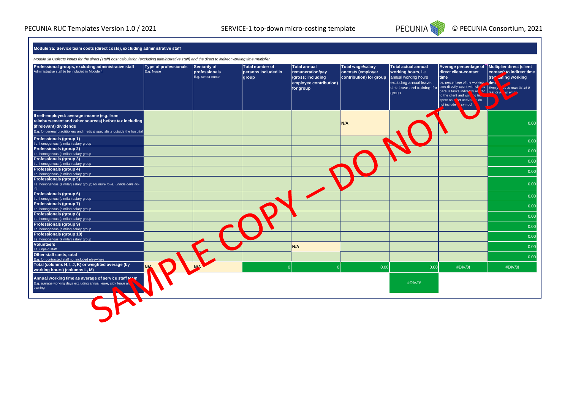

### **Module 3a: Service team costs (direct costs), excluding administrative staff**

*Module 3a Collects inputs for the direct (staff) cost calculation (excluding administrative staff) and the direct to indirect working time multiplier.* 

| Professional groups, excluding administrative staff<br>Administrative staff to be included in Module 4                                                                                                         | <b>Type of professionals</b><br>E.g. Nurse | Seniority of<br>professionals<br>E.g. senior nurse | Total number of<br>persons included in<br>group | Total annual<br>remuneration/pay<br>(gross; including<br>employee contribution)<br>for group | <b>Total wage/salary</b><br>oncosts (employer<br>contribution) for group | <b>Total actual annual</b><br>working hours, i.e.<br>annual working hours<br>excluding annual leave,<br>sick leave and training; for time directly spent with cli<br>group | Average percentage of Multiplier direct (client<br>direct client-contact<br>time<br>I.e. percentage of the working<br>versus tasks indirectly re<br>to the client and wol.<br>o tin<br>i; do<br>spent on cover activitie<br>not include<br>symbol | contact' to indirect time<br>aning working<br>(re-<br>ing time<br>$\frac{1}{10}$ as in rows 34-46 if<br>ed rest of N<br>vis emriv |
|----------------------------------------------------------------------------------------------------------------------------------------------------------------------------------------------------------------|--------------------------------------------|----------------------------------------------------|-------------------------------------------------|----------------------------------------------------------------------------------------------|--------------------------------------------------------------------------|----------------------------------------------------------------------------------------------------------------------------------------------------------------------------|---------------------------------------------------------------------------------------------------------------------------------------------------------------------------------------------------------------------------------------------------|-----------------------------------------------------------------------------------------------------------------------------------|
| If self-employed: average income (e.g. from<br>reimbursement and other sources) before tax including<br>(if relevant) dividends<br>E.g. for general practitioners and medical specialists outside the hospital |                                            |                                                    |                                                 |                                                                                              | N/A                                                                      |                                                                                                                                                                            |                                                                                                                                                                                                                                                   | 0.00                                                                                                                              |
| Professionals (group 1)                                                                                                                                                                                        |                                            |                                                    |                                                 |                                                                                              |                                                                          |                                                                                                                                                                            |                                                                                                                                                                                                                                                   | 0.00                                                                                                                              |
| I.e. homogenous (similar) salary group<br>Professionals (group 2)                                                                                                                                              |                                            |                                                    |                                                 |                                                                                              |                                                                          |                                                                                                                                                                            |                                                                                                                                                                                                                                                   |                                                                                                                                   |
| I.e. homogenous (similar) salary group                                                                                                                                                                         |                                            |                                                    |                                                 |                                                                                              |                                                                          |                                                                                                                                                                            |                                                                                                                                                                                                                                                   | 0.00                                                                                                                              |
| Professionals (group 3)<br>I.e. homogenous (similar) salary group                                                                                                                                              |                                            |                                                    |                                                 |                                                                                              |                                                                          |                                                                                                                                                                            |                                                                                                                                                                                                                                                   | 0.00                                                                                                                              |
| <b>Professionals (group 4)</b>                                                                                                                                                                                 |                                            |                                                    |                                                 |                                                                                              |                                                                          |                                                                                                                                                                            |                                                                                                                                                                                                                                                   | 0.00                                                                                                                              |
| I.e. homogenous (similar) salary group                                                                                                                                                                         |                                            |                                                    |                                                 |                                                                                              |                                                                          |                                                                                                                                                                            |                                                                                                                                                                                                                                                   |                                                                                                                                   |
| Professionals (group 5)<br>I.e. homogenous (similar) salary group; for more rows, unhide cells 40-<br>44                                                                                                       |                                            |                                                    |                                                 |                                                                                              |                                                                          |                                                                                                                                                                            |                                                                                                                                                                                                                                                   | 0.00                                                                                                                              |
| Professionals (group 6)                                                                                                                                                                                        |                                            |                                                    |                                                 |                                                                                              |                                                                          |                                                                                                                                                                            |                                                                                                                                                                                                                                                   | 0.00                                                                                                                              |
| I.e. homogenous (similar) salary group                                                                                                                                                                         |                                            |                                                    |                                                 |                                                                                              |                                                                          |                                                                                                                                                                            |                                                                                                                                                                                                                                                   |                                                                                                                                   |
| Professionals (group 7)<br>I.e. homogenous (similar) salary group                                                                                                                                              |                                            |                                                    |                                                 |                                                                                              |                                                                          |                                                                                                                                                                            |                                                                                                                                                                                                                                                   | 0.00                                                                                                                              |
| Professionals (group 8)                                                                                                                                                                                        |                                            |                                                    |                                                 |                                                                                              |                                                                          |                                                                                                                                                                            |                                                                                                                                                                                                                                                   |                                                                                                                                   |
| I.e. homogenous (similar) salary group                                                                                                                                                                         |                                            |                                                    |                                                 |                                                                                              |                                                                          |                                                                                                                                                                            |                                                                                                                                                                                                                                                   | 0.00                                                                                                                              |
| Professionals (group 9)                                                                                                                                                                                        |                                            |                                                    |                                                 |                                                                                              |                                                                          |                                                                                                                                                                            |                                                                                                                                                                                                                                                   | 0.00                                                                                                                              |
| I.e. homogenous (similar) salary group<br>Professionals (group 10)                                                                                                                                             |                                            |                                                    |                                                 |                                                                                              |                                                                          |                                                                                                                                                                            |                                                                                                                                                                                                                                                   |                                                                                                                                   |
| I.e. homogenous (similar) salary group                                                                                                                                                                         |                                            |                                                    |                                                 |                                                                                              |                                                                          |                                                                                                                                                                            |                                                                                                                                                                                                                                                   | 0.00                                                                                                                              |
| <b>Volunteers</b>                                                                                                                                                                                              |                                            |                                                    |                                                 | N/A                                                                                          |                                                                          |                                                                                                                                                                            |                                                                                                                                                                                                                                                   | 0.00                                                                                                                              |
| I.e. unpaid staff                                                                                                                                                                                              |                                            |                                                    |                                                 |                                                                                              |                                                                          |                                                                                                                                                                            |                                                                                                                                                                                                                                                   |                                                                                                                                   |
| Other staff costs, total                                                                                                                                                                                       |                                            |                                                    |                                                 |                                                                                              |                                                                          |                                                                                                                                                                            |                                                                                                                                                                                                                                                   | 0.00                                                                                                                              |
| E.g. for contracted staff not included elsewhere<br>Total (columns H, I, J, K) or weighted average (by                                                                                                         |                                            |                                                    |                                                 |                                                                                              |                                                                          |                                                                                                                                                                            |                                                                                                                                                                                                                                                   |                                                                                                                                   |
| working hours) (columns L, M)                                                                                                                                                                                  |                                            |                                                    |                                                 |                                                                                              | 0.00                                                                     | 0.00                                                                                                                                                                       | #DIV/0!                                                                                                                                                                                                                                           | #DIV/0!                                                                                                                           |
| Annual working time as average of service staff toom<br>E.g. average working days excluding annual leave, sick leave an<br>training                                                                            |                                            |                                                    |                                                 |                                                                                              |                                                                          | #DIV/0!                                                                                                                                                                    |                                                                                                                                                                                                                                                   |                                                                                                                                   |
|                                                                                                                                                                                                                |                                            |                                                    |                                                 |                                                                                              |                                                                          |                                                                                                                                                                            |                                                                                                                                                                                                                                                   |                                                                                                                                   |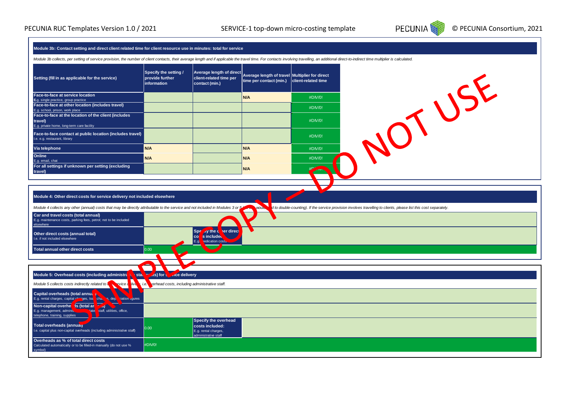

| Module 3b: Contact setting and direct client related time for client resource use in minutes: total for service                                                                                                                |                                                                               |                                                                                               |                                                                           |                                                                                                                   |  |  |  |       |
|--------------------------------------------------------------------------------------------------------------------------------------------------------------------------------------------------------------------------------|-------------------------------------------------------------------------------|-----------------------------------------------------------------------------------------------|---------------------------------------------------------------------------|-------------------------------------------------------------------------------------------------------------------|--|--|--|-------|
| Module 3b collects, per setting of service provision, the number of client contacts, their average length and if applicable the travel time. For contacts involving travelling, an additional direct-to-indirect time multipli |                                                                               |                                                                                               |                                                                           |                                                                                                                   |  |  |  |       |
| Setting (fill in as applicable for the service)                                                                                                                                                                                | Specify the setting /<br>provide further<br>information                       | <b>Average length of direct</b><br>client-related time per<br>contact (min.)                  | Average length of travel Multiplier for direct<br>time per contact (min.) | client-related time                                                                                               |  |  |  | OTUSE |
| Face-to-face at service location                                                                                                                                                                                               |                                                                               |                                                                                               | N/A                                                                       | #DIV/0!                                                                                                           |  |  |  |       |
| E.g. single practice, group practice<br>Face-to-face at other location (includes travel)                                                                                                                                       |                                                                               |                                                                                               |                                                                           | #DIV/0!                                                                                                           |  |  |  |       |
| E.g. school, prison, work place<br>Face-to-face at the location of the client (includes                                                                                                                                        |                                                                               |                                                                                               |                                                                           |                                                                                                                   |  |  |  |       |
| travel)<br>E.g. private home, long-term care facility                                                                                                                                                                          |                                                                               |                                                                                               |                                                                           | #DIV/0!                                                                                                           |  |  |  |       |
| Face-to-face contact at public location (includes travel)<br>I.e. e.g. restaurant, library                                                                                                                                     |                                                                               |                                                                                               |                                                                           | #DIV/0!                                                                                                           |  |  |  |       |
| Via telephone                                                                                                                                                                                                                  | N/A                                                                           |                                                                                               | N/A                                                                       | #DIV/0!                                                                                                           |  |  |  |       |
| Online<br>E.g. email, chat                                                                                                                                                                                                     | N/A                                                                           |                                                                                               | N/A                                                                       | #DIV/0!                                                                                                           |  |  |  |       |
| For all settings if unknown per setting (excluding<br>travel)                                                                                                                                                                  |                                                                               |                                                                                               | N/A                                                                       |                                                                                                                   |  |  |  |       |
|                                                                                                                                                                                                                                |                                                                               |                                                                                               |                                                                           |                                                                                                                   |  |  |  |       |
| Module 4: Other direct costs for service delivery not included elsewhere<br>Module 4 collects any other (annual) costs that may be directly attributable to the service and not included in Modules 3 or 5                     |                                                                               |                                                                                               | <b>MOLIK</b>                                                              | d to double-counting). If the service provision involves travelling to clients, please list this cost separately. |  |  |  |       |
| Car and travel costs (total annual)<br>E.g. maintenance costs, parking fees, petrol; not to be included<br>elsewhere                                                                                                           |                                                                               |                                                                                               |                                                                           |                                                                                                                   |  |  |  |       |
| Other direct costs (annual total)<br>I.e. if not included elsewhere                                                                                                                                                            |                                                                               | ay the c<br><b>her direct</b><br>Spf<br> co <br>s included<br>E.g.<br><b>redication</b> costs |                                                                           |                                                                                                                   |  |  |  |       |
| Total annual other direct costs                                                                                                                                                                                                | 0.00                                                                          |                                                                                               |                                                                           |                                                                                                                   |  |  |  |       |
|                                                                                                                                                                                                                                |                                                                               |                                                                                               |                                                                           |                                                                                                                   |  |  |  |       |
| Module 5: Overhead costs (including administra<br>sta                                                                                                                                                                          | $($ s) for $\frac{1}{2}$<br><b>Ace delivery</b>                               |                                                                                               |                                                                           |                                                                                                                   |  |  |  |       |
| Module 5 collects costs indirectly related to<br><b>Viv</b><br>rvice d                                                                                                                                                         | verhead costs, including administrative staff.<br>. i.e. $\blacktriangledown$ |                                                                                               |                                                                           |                                                                                                                   |  |  |  |       |
| Capital overheads (total annua                                                                                                                                                                                                 |                                                                               |                                                                                               |                                                                           |                                                                                                                   |  |  |  |       |
| $\overrightarrow{chab}$<br>E.g. rental charges, capital ch<br>s, dep.<br>siation ligures<br>"ges, loa <mark>l</mark>                                                                                                           |                                                                               |                                                                                               |                                                                           |                                                                                                                   |  |  |  |       |
| Non-capital overhe is (total an<br>aJ.<br>E.g. management, adminis<br>'ate<br>staff, utilities, office,<br>telephone, training, supplies                                                                                       |                                                                               |                                                                                               |                                                                           |                                                                                                                   |  |  |  |       |
| Total overheads (annual)<br>I.e. capital plus non-capital overheads (including administrative staff)                                                                                                                           | 0.00                                                                          | Specify the overhead<br>costs included:<br>E.g. rental charges,<br>administrative staff       |                                                                           |                                                                                                                   |  |  |  |       |
| Overheads as % of total direct costs<br>Calculated automatically or to be filled-in manually (do not use %<br>symbol)                                                                                                          | #DIV/0!                                                                       |                                                                                               |                                                                           |                                                                                                                   |  |  |  |       |